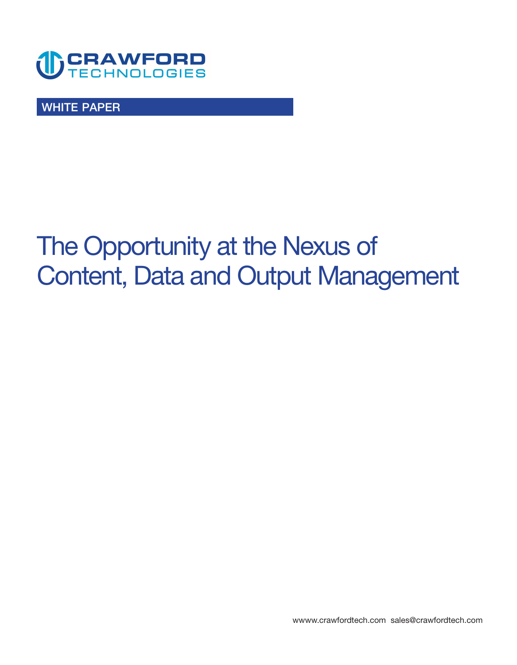

**WHITE PAPER** 

# **The Opportunity at the Nexus of Content, Data and Output Management**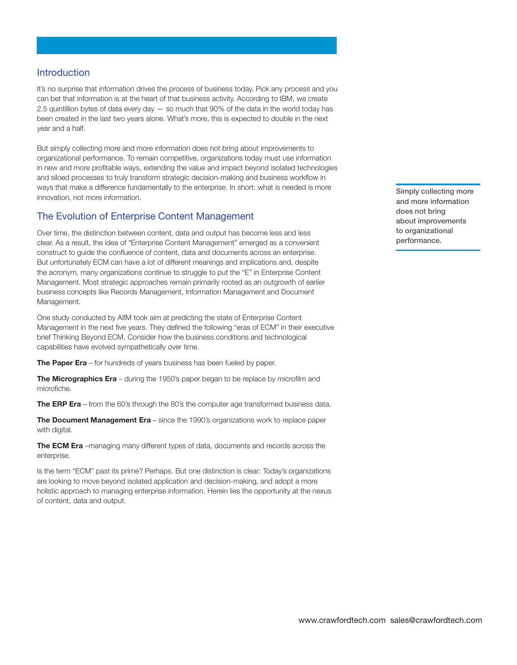## **Introduction**

**It's no surprise that information drives the process of business today. Pick any process and you can bet that information is at the heart of that business activity. According to IBM, we create 2.5 quintillion bytes of data every day — so much that 90% of the data in the world today has been created in the last two years alone. What's more, this is expected to double in the next year and a half.** 

**But simply collecting more and more information does not bring about improvements to organizational performance. To remain competitive, organizations today must use information in new and more profitable ways, extending the value and impact beyond isolated technologies and siloed processes to truly transform strategic decision-making and business workflow in ways that make a difference fundamentally to the enterprise. In short: what is needed is more innovation, not more information.** 

## **The Evolution of Enterprise Content Management**

**Over time, the distinction between content, data and output has become less and less clear. As a result, the idea of "Enterprise Content Management" emerged as a convenient construct to guide the confluence of content, data and documents across an enterprise. But unfortunately ECM can have a lot of different meanings and implications and, despite the acronym, many organizations continue to struggle to put the "E" in Enterprise Content Management. Most strategic approaches remain primarily rooted as an outgrowth of earlier business concepts like Records Management, Information Management and Document Management.** 

**One study conducted by AIIM took aim at predicting the state of Enterprise Content Management in the next five years. They defined the following "eras of ECM" in their executive brief Thinking Beyond ECM. Consider how the business conditions and technological capabilities have evolved sympathetically over time.** 

**The Paper Era** – for hundreds of years business has been fueled by paper.

**The Micrographics Era** – during the 1950's paper began to be replace by microfilm and **microfiche.** 

**The ERP Era – from the 60's through the 80's the computer age transformed business data.** 

**The Document Management Era – since the 1990's organizations work to replace paper with digital.** 

**The ECM Era –managing many different types of data, documents and records across the enterprise.** 

**Is the term "ECM" past its prime? Perhaps. But one distinction is clear: Today's organizations are looking to move beyond isolated application and decision-making, and adopt a more holistic approach to managing enterprise information. Herein lies the opportunity at the nexus of content, data and output.** 

**Simply collecting more and more information does not bring about improvements to organizational performance.**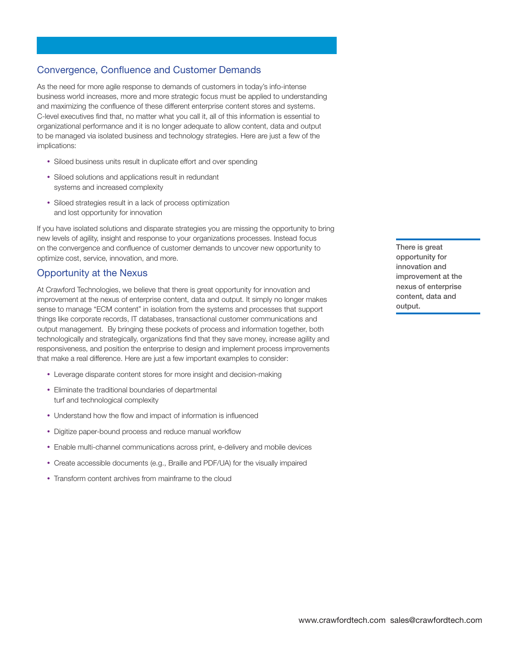# **Convergence, Confluence and Customer Demands**

**As the need for more agile response to demands of customers in today's info-intense business world increases, more and more strategic focus must be applied to understanding and maximizing the confluence of these different enterprise content stores and systems. C-level executives find that, no matter what you call it, all of this information is essential to organizational performance and it is no longer adequate to allow content, data and output to be managed via isolated business and technology strategies. Here are just a few of the implications:**

- **Siloed business units result in duplicate effort and over spending**
- **Siloed solutions and applications result in redundant systems and increased complexity**
- **Siloed strategies result in a lack of process optimization and lost opportunity for innovation**

**If you have isolated solutions and disparate strategies you are missing the opportunity to bring new levels of agility, insight and response to your organizations processes. Instead focus on the convergence and confluence of customer demands to uncover new opportunity to optimize cost, service, innovation, and more.** 

#### **Opportunity at the Nexus**

**At Crawford Technologies, we believe that there is great opportunity for innovation and improvement at the nexus of enterprise content, data and output. It simply no longer makes sense to manage "ECM content" in isolation from the systems and processes that support things like corporate records, IT databases, transactional customer communications and output management. By bringing these pockets of process and information together, both technologically and strategically, organizations find that they save money, increase agility and responsiveness, and position the enterprise to design and implement process improvements that make a real difference. Here are just a few important examples to consider:** 

- **Leverage disparate content stores for more insight and decision-making**
- **Eliminate the traditional boundaries of departmental turf and technological complexity**
- **Understand how the flow and impact of information is influenced**
- **Digitize paper-bound process and reduce manual workflow**
- **Enable multi-channel communications across print, e-delivery and mobile devices**
- **Create accessible documents (e.g., Braille and PDF/UA) for the visually impaired**
- **Transform content archives from mainframe to the cloud**

**There is great opportunity for innovation and improvement at the nexus of enterprise content, data and output.**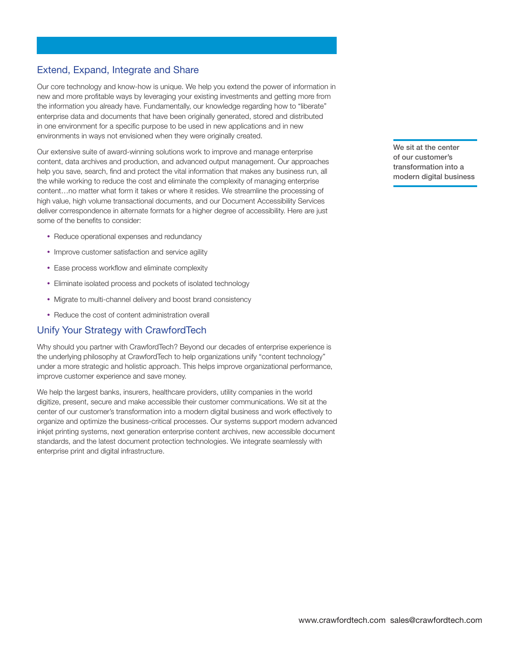## **Extend, Expand, Integrate and Share**

**Our core technology and know-how is unique. We help you extend the power of information in new and more profitable ways by leveraging your existing investments and getting more from the information you already have. Fundamentally, our knowledge regarding how to "liberate" enterprise data and documents that have been originally generated, stored and distributed in one environment for a specific purpose to be used in new applications and in new environments in ways not envisioned when they were originally created.** 

**Our extensive suite of award-winning solutions work to improve and manage enterprise content, data archives and production, and advanced output management. Our approaches help you save, search, find and protect the vital information that makes any business run, all the while working to reduce the cost and eliminate the complexity of managing enterprise content…no matter what form it takes or where it resides. We streamline the processing of high value, high volume transactional documents, and our Document Accessibility Services deliver correspondence in alternate formats for a higher degree of accessibility. Here are just some of the benefits to consider:** 

- **Reduce operational expenses and redundancy**
- **Improve customer satisfaction and service agility**
- **Ease process workflow and eliminate complexity**
- **Eliminate isolated process and pockets of isolated technology**
- **Migrate to multi-channel delivery and boost brand consistency**
- **Reduce the cost of content administration overall**

#### **Unify Your Strategy with CrawfordTech**

**Why should you partner with CrawfordTech? Beyond our decades of enterprise experience is the underlying philosophy at CrawfordTech to help organizations unify "content technology" under a more strategic and holistic approach. This helps improve organizational performance, improve customer experience and save money.** 

**We help the largest banks, insurers, healthcare providers, utility companies in the world digitize, present, secure and make accessible their customer communications. We sit at the center of our customer's transformation into a modern digital business and work effectively to organize and optimize the business-critical processes. Our systems support modern advanced inkjet printing systems, next generation enterprise content archives, new accessible document standards, and the latest document protection technologies. We integrate seamlessly with enterprise print and digital infrastructure.** 

**We sit at the center of our customer's transformation into a modern digital business**